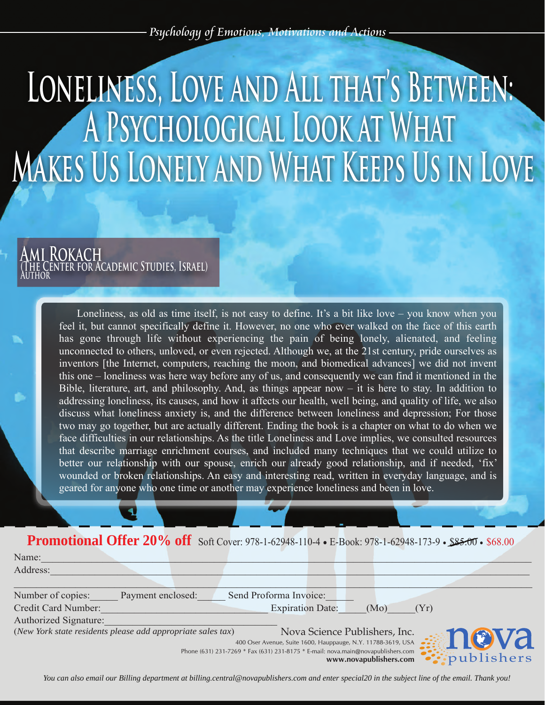## LONELINESS, LOVE AND ALL THAT'S BETWEEN: A PSYCHOLOGICAL LOOK AT WHAT **MAKES US LONELY AND WHAT KEEPS US IN LOVE**

## **Ami Rokach (The Center for Academic Studies, Israel) Author**

Loneliness, as old as time itself, is not easy to define. It's a bit like love – you know when you feel it, but cannot specifically define it. However, no one who ever walked on the face of this earth has gone through life without experiencing the pain of being lonely, alienated, and feeling unconnected to others, unloved, or even rejected. Although we, at the 21st century, pride ourselves as inventors [the Internet, computers, reaching the moon, and biomedical advances] we did not invent this one – loneliness was here way before any of us, and consequently we can find it mentioned in the Bible, literature, art, and philosophy. And, as things appear now – it is here to stay. In addition to addressing loneliness, its causes, and how it affects our health, well being, and quality of life, we also discuss what loneliness anxiety is, and the difference between loneliness and depression; For those two may go together, but are actually different. Ending the book is a chapter on what to do when we face difficulties in our relationships. As the title Loneliness and Love implies, we consulted resources that describe marriage enrichment courses, and included many techniques that we could utilize to better our relationship with our spouse, enrich our already good relationship, and if needed, 'fix' wounded or broken relationships. An easy and interesting read, written in everyday language, and is geared for anyone who one time or another may experience loneliness and been in love.

## Promotional Offer 20% off Soft Cover: 978-1-62948-110-4 • E-Book: 978-1-62948-173-9 • \$85.00 • \$68.00

Name: <u>with the set of the set of the set of the set of the set of the set of the set of the set of the set of the set of the set of the set of the set of the set of the set of the set of the set of the set of the set of t</u>

| Address:              |                                                             |                                                                                                            |
|-----------------------|-------------------------------------------------------------|------------------------------------------------------------------------------------------------------------|
|                       |                                                             |                                                                                                            |
| Number of copies:     | Payment enclosed:                                           | Send Proforma Invoice:                                                                                     |
| Credit Card Number:   |                                                             | <b>Expiration Date:</b><br>(Mo)<br>(Yr)                                                                    |
| Authorized Signature: |                                                             |                                                                                                            |
|                       | (New York state residents please add appropriate sales tax) | Nova Science Publishers, Inc.                                                                              |
|                       |                                                             | nova<br>400 Oser Avenue, Suite 1600, Hauppauge, N.Y. 11788-3619, USA                                       |
|                       |                                                             | Phone (631) 231-7269 * Fax (631) 231-8175 * E-mail: nova.main@novapublishers.com<br>www.novapublishers.com |

*You can also email our Billing department at billing.central@novapublishers.com and enter special20 in the subject line of the email. Thank you!*